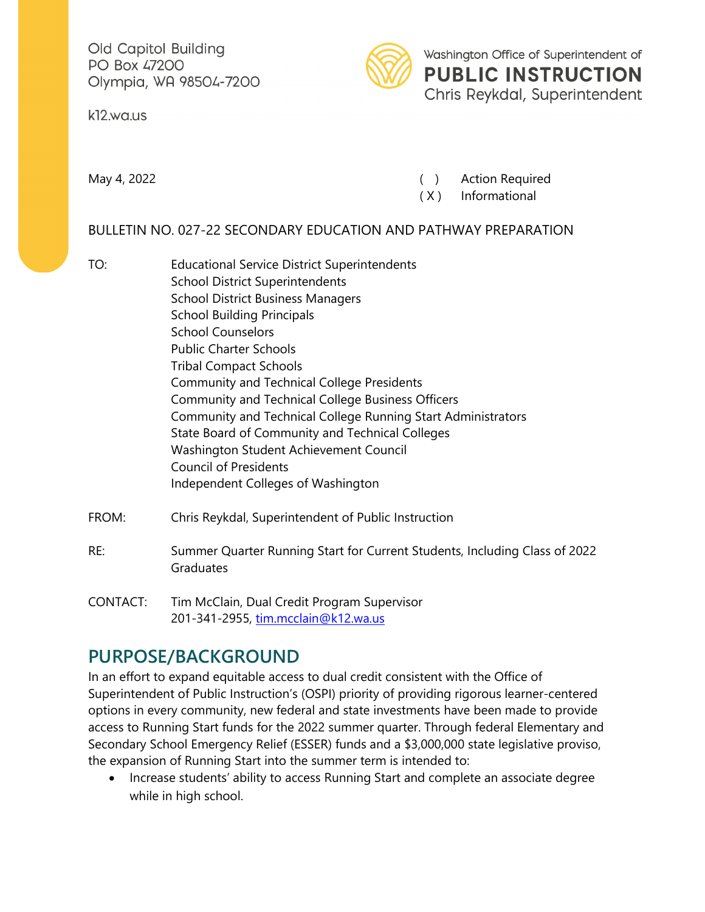Old Capitol Building PO Box 47200 Olympia, WA 98504-7200

k12.wa.us



Washington Office of Superintendent of **PUBLIC INSTRUCTION** Chris Reykdal, Superintendent

May 4, 2022 **May 4, 2022 Constant Construction Construction Construction Construction Construction Construction Construction Construction Construction Construction Construction Construction Construction Construction Cons** 

( X ) Informational

#### BULLETIN NO. 027-22 SECONDARY EDUCATION AND PATHWAY PREPARATION

- TO: Educational Service District Superintendents School District Superintendents School District Business Managers School Building Principals School Counselors Public Charter Schools Tribal Compact Schools Community and Technical College Presidents Community and Technical College Business Officers Community and Technical College Running Start Administrators State Board of Community and Technical Colleges Washington Student Achievement Council Council of Presidents Independent Colleges of Washington
- FROM: Chris Reykdal, Superintendent of Public Instruction
- RE: Summer Quarter Running Start for Current Students, Including Class of 2022 **Graduates**
- CONTACT: Tim McClain, Dual Credit Program Supervisor 201-341-2955, [tim.mcclain@k12.wa.us](mailto:tim.mcclain@k12.wa.us)

## **PURPOSE/BACKGROUND**

In an effort to expand equitable access to dual credit consistent with the Office of Superintendent of Public Instruction's (OSPI) priority of providing rigorous learner-centered options in every community, new federal and state investments have been made to provide access to Running Start funds for the 2022 summer quarter. Through federal Elementary and Secondary School Emergency Relief (ESSER) funds and a \$3,000,000 state legislative proviso, the expansion of Running Start into the summer term is intended to:

• Increase students' ability to access Running Start and complete an associate degree while in high school.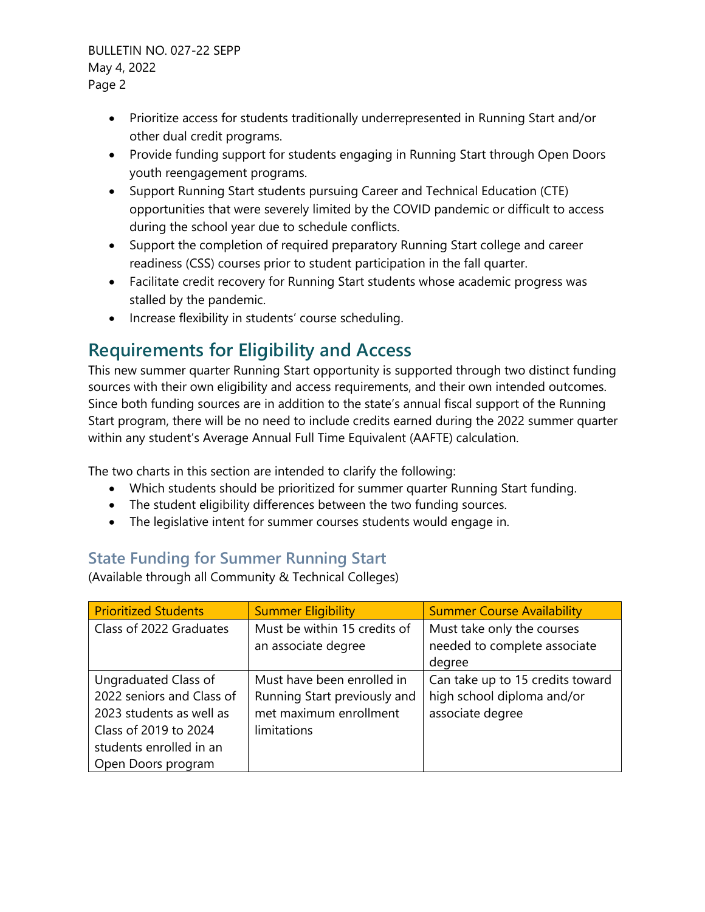- Prioritize access for students traditionally underrepresented in Running Start and/or other dual credit programs.
- Provide funding support for students engaging in Running Start through Open Doors youth reengagement programs.
- Support Running Start students pursuing Career and Technical Education (CTE) opportunities that were severely limited by the COVID pandemic or difficult to access during the school year due to schedule conflicts.
- Support the completion of required preparatory Running Start college and career readiness (CSS) courses prior to student participation in the fall quarter.
- Facilitate credit recovery for Running Start students whose academic progress was stalled by the pandemic.
- Increase flexibility in students' course scheduling.

# **Requirements for Eligibility and Access**

This new summer quarter Running Start opportunity is supported through two distinct funding sources with their own eligibility and access requirements, and their own intended outcomes. Since both funding sources are in addition to the state's annual fiscal support of the Running Start program, there will be no need to include credits earned during the 2022 summer quarter within any student's Average Annual Full Time Equivalent (AAFTE) calculation.

The two charts in this section are intended to clarify the following:

- Which students should be prioritized for summer quarter Running Start funding.
- The student eligibility differences between the two funding sources.
- The legislative intent for summer courses students would engage in.

### **State Funding for Summer Running Start**

(Available through all Community & Technical Colleges)

| <b>Prioritized Students</b>                                                                                                                             | <b>Summer Eligibility</b>                                                                           | <b>Summer Course Availability</b>                                                  |
|---------------------------------------------------------------------------------------------------------------------------------------------------------|-----------------------------------------------------------------------------------------------------|------------------------------------------------------------------------------------|
| Class of 2022 Graduates                                                                                                                                 | Must be within 15 credits of<br>an associate degree                                                 | Must take only the courses<br>needed to complete associate<br>degree               |
| Ungraduated Class of<br>2022 seniors and Class of<br>2023 students as well as<br>Class of 2019 to 2024<br>students enrolled in an<br>Open Doors program | Must have been enrolled in<br>Running Start previously and<br>met maximum enrollment<br>limitations | Can take up to 15 credits toward<br>high school diploma and/or<br>associate degree |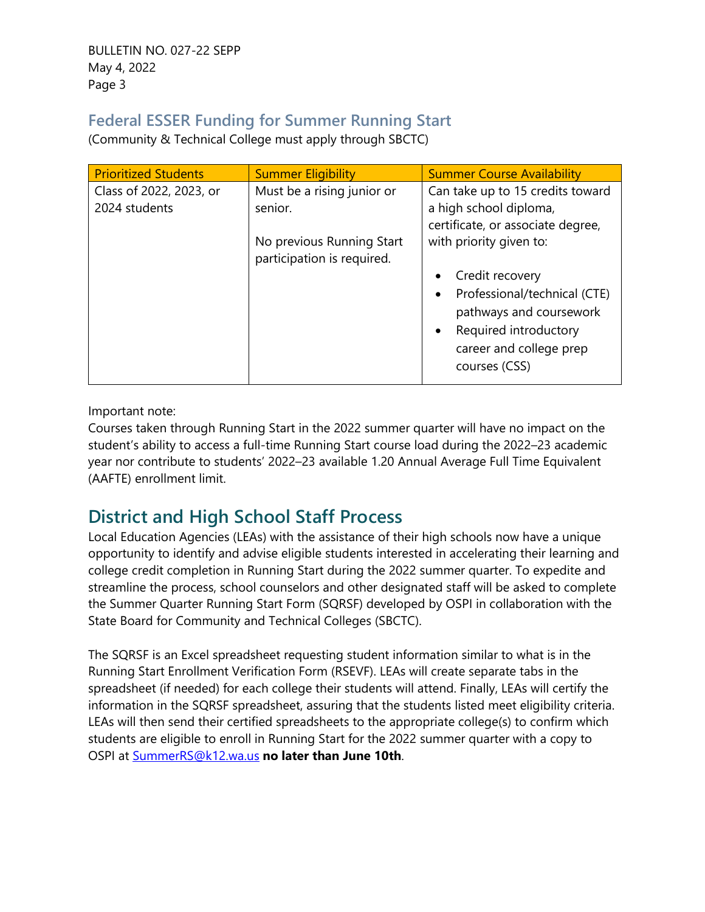### **Federal ESSER Funding for Summer Running Start**

(Community & Technical College must apply through SBCTC)

|                                                                                                                                                                                                                                                                | <b>Prioritized Students</b> | <b>Summer Eligibility</b> | <b>Summer Course Availability</b>                                                                                                                           |
|----------------------------------------------------------------------------------------------------------------------------------------------------------------------------------------------------------------------------------------------------------------|-----------------------------|---------------------------|-------------------------------------------------------------------------------------------------------------------------------------------------------------|
| Must be a rising junior or<br>Class of 2022, 2023, or<br>2024 students<br>a high school diploma,<br>senior.<br>with priority given to:<br>No previous Running Start<br>participation is required.<br>Credit recovery<br>Required introductory<br>courses (CSS) |                             |                           | Can take up to 15 credits toward<br>certificate, or associate degree,<br>Professional/technical (CTE)<br>pathways and coursework<br>career and college prep |

Important note:

Courses taken through Running Start in the 2022 summer quarter will have no impact on the student's ability to access a full-time Running Start course load during the 2022–23 academic year nor contribute to students' 2022–23 available 1.20 Annual Average Full Time Equivalent (AAFTE) enrollment limit.

## **District and High School Staff Process**

Local Education Agencies (LEAs) with the assistance of their high schools now have a unique opportunity to identify and advise eligible students interested in accelerating their learning and college credit completion in Running Start during the 2022 summer quarter. To expedite and streamline the process, school counselors and other designated staff will be asked to complete the Summer Quarter Running Start Form (SQRSF) developed by OSPI in collaboration with the State Board for Community and Technical Colleges (SBCTC).

The SQRSF is an Excel spreadsheet requesting student information similar to what is in the Running Start Enrollment Verification Form (RSEVF). LEAs will create separate tabs in the spreadsheet (if needed) for each college their students will attend. Finally, LEAs will certify the information in the SQRSF spreadsheet, assuring that the students listed meet eligibility criteria. LEAs will then send their certified spreadsheets to the appropriate college(s) to confirm which students are eligible to enroll in Running Start for the 2022 summer quarter with a copy to OSPI at [SummerRS@k12.wa.us](mailto:SummerRS@k12.wa.us) **no later than June 10th**.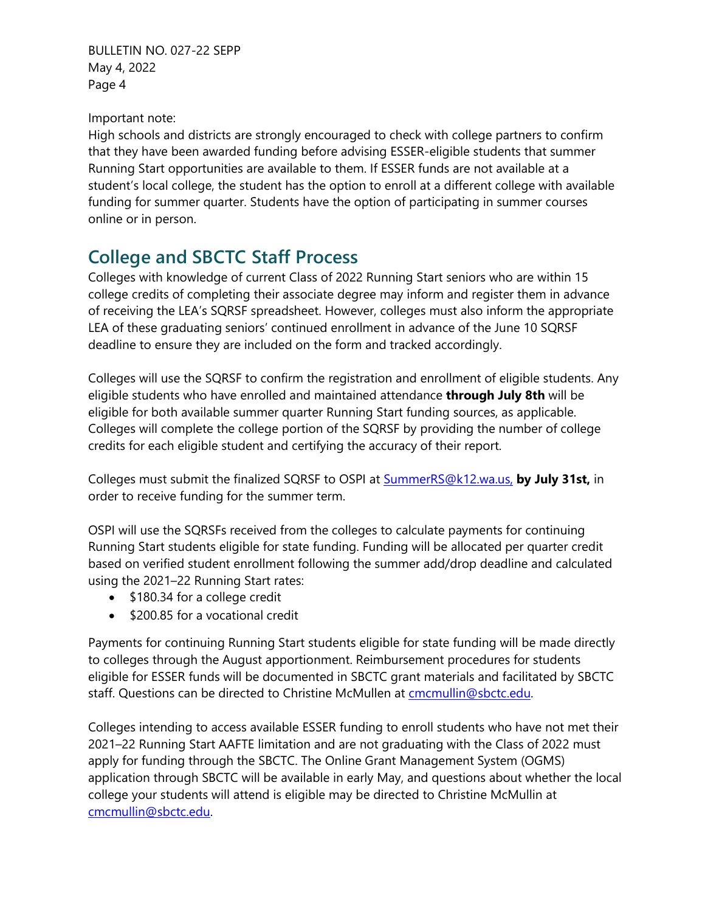Important note:

High schools and districts are strongly encouraged to check with college partners to confirm that they have been awarded funding before advising ESSER-eligible students that summer Running Start opportunities are available to them. If ESSER funds are not available at a student's local college, the student has the option to enroll at a different college with available funding for summer quarter. Students have the option of participating in summer courses online or in person.

## **College and SBCTC Staff Process**

Colleges with knowledge of current Class of 2022 Running Start seniors who are within 15 college credits of completing their associate degree may inform and register them in advance of receiving the LEA's SQRSF spreadsheet. However, colleges must also inform the appropriate LEA of these graduating seniors' continued enrollment in advance of the June 10 SQRSF deadline to ensure they are included on the form and tracked accordingly.

Colleges will use the SQRSF to confirm the registration and enrollment of eligible students. Any eligible students who have enrolled and maintained attendance **through July 8th** will be eligible for both available summer quarter Running Start funding sources, as applicable. Colleges will complete the college portion of the SQRSF by providing the number of college credits for each eligible student and certifying the accuracy of their report.

Colleges must submit the finalized SQRSF to OSPI at [SummerRS@k12.wa.us,](mailto:SummerRS@k12.wa.us) **by July 31st,** in order to receive funding for the summer term.

OSPI will use the SQRSFs received from the colleges to calculate payments for continuing Running Start students eligible for state funding. Funding will be allocated per quarter credit based on verified student enrollment following the summer add/drop deadline and calculated using the 2021–22 Running Start rates:

- \$180.34 for a college credit
- \$200.85 for a vocational credit

Payments for continuing Running Start students eligible for state funding will be made directly to colleges through the August apportionment. Reimbursement procedures for students eligible for ESSER funds will be documented in SBCTC grant materials and facilitated by SBCTC staff. Questions can be directed to Christine McMullen at [cmcmullin@sbctc.edu.](mailto:cmcmullin@sbctc.edu)

Colleges intending to access available ESSER funding to enroll students who have not met their 2021–22 Running Start AAFTE limitation and are not graduating with the Class of 2022 must apply for funding through the SBCTC. The Online Grant Management System (OGMS) application through SBCTC will be available in early May, and questions about whether the local college your students will attend is eligible may be directed to Christine McMullin at [cmcmullin@sbctc.edu.](mailto:cmcmullin@sbctc.edu)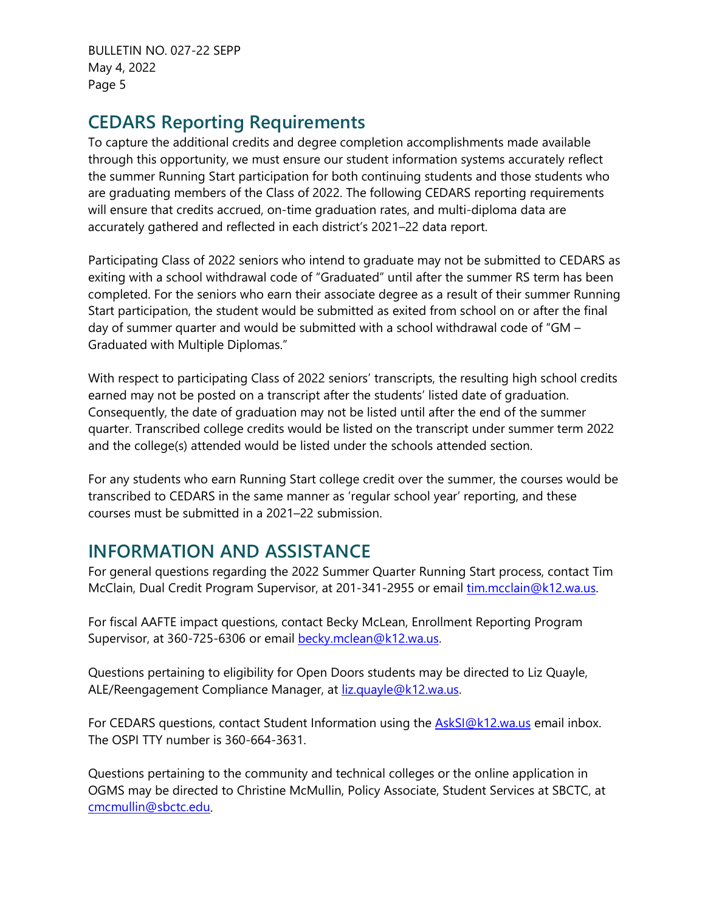## **CEDARS Reporting Requirements**

To capture the additional credits and degree completion accomplishments made available through this opportunity, we must ensure our student information systems accurately reflect the summer Running Start participation for both continuing students and those students who are graduating members of the Class of 2022. The following CEDARS reporting requirements will ensure that credits accrued, on-time graduation rates, and multi-diploma data are accurately gathered and reflected in each district's 2021–22 data report.

Participating Class of 2022 seniors who intend to graduate may not be submitted to CEDARS as exiting with a school withdrawal code of "Graduated" until after the summer RS term has been completed. For the seniors who earn their associate degree as a result of their summer Running Start participation, the student would be submitted as exited from school on or after the final day of summer quarter and would be submitted with a school withdrawal code of "GM – Graduated with Multiple Diplomas."

With respect to participating Class of 2022 seniors' transcripts, the resulting high school credits earned may not be posted on a transcript after the students' listed date of graduation. Consequently, the date of graduation may not be listed until after the end of the summer quarter. Transcribed college credits would be listed on the transcript under summer term 2022 and the college(s) attended would be listed under the schools attended section.

For any students who earn Running Start college credit over the summer, the courses would be transcribed to CEDARS in the same manner as 'regular school year' reporting, and these courses must be submitted in a 2021–22 submission.

## **INFORMATION AND ASSISTANCE**

For general questions regarding the 2022 Summer Quarter Running Start process, contact Tim McClain, Dual Credit Program Supervisor, at 201-341-2955 or email [tim.mcclain@k12.wa.us.](mailto:tim.mcclain@k12.wa.us)

For fiscal AAFTE impact questions, contact Becky McLean, Enrollment Reporting Program Supervisor, at 360-725-6306 or email [becky.mclean@k12.wa.us.](mailto:becky.mclean@k12.wa.us)

Questions pertaining to eligibility for Open Doors students may be directed to Liz Quayle, ALE/Reengagement Compliance Manager, at [liz.quayle@k12.wa.us.](mailto:Liz.Quayle@k12.wa.us)

For CEDARS questions, contact Student Information using the [AskSI@k12.wa.us](mailto:AskSI@k12.wa.us) email inbox. The OSPI TTY number is 360-664-3631.

Questions pertaining to the community and technical colleges or the online application in OGMS may be directed to Christine McMullin, Policy Associate, Student Services at SBCTC, at [cmcmullin@sbctc.edu.](mailto:cmcmullin@sbctc.edu)